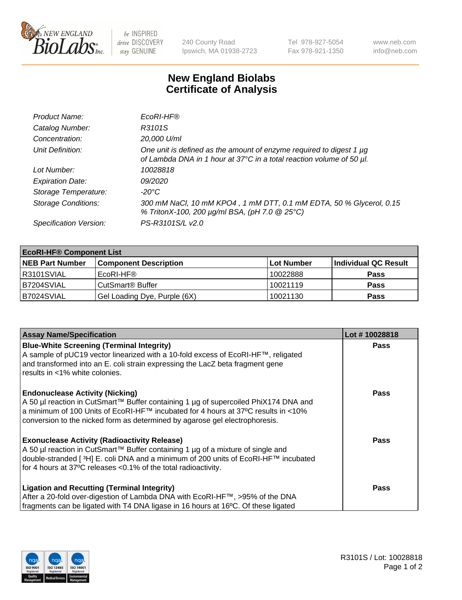

 $be$  INSPIRED drive DISCOVERY stay GENUINE

240 County Road Ipswich, MA 01938-2723 Tel 978-927-5054 Fax 978-921-1350 www.neb.com info@neb.com

## **New England Biolabs Certificate of Analysis**

| Product Name:              | EcoRI-HF®                                                                                                                                   |
|----------------------------|---------------------------------------------------------------------------------------------------------------------------------------------|
| Catalog Number:            | R3101S                                                                                                                                      |
| Concentration:             | 20,000 U/ml                                                                                                                                 |
| Unit Definition:           | One unit is defined as the amount of enzyme required to digest 1 µg<br>of Lambda DNA in 1 hour at 37°C in a total reaction volume of 50 µl. |
| Lot Number:                | 10028818                                                                                                                                    |
| <b>Expiration Date:</b>    | 09/2020                                                                                                                                     |
| Storage Temperature:       | -20°C                                                                                                                                       |
| <b>Storage Conditions:</b> | 300 mM NaCl, 10 mM KPO4, 1 mM DTT, 0.1 mM EDTA, 50 % Glycerol, 0.15<br>% TritonX-100, 200 µg/ml BSA, (pH 7.0 @ 25°C)                        |
| Specification Version:     | PS-R3101S/L v2.0                                                                                                                            |

| <b>EcoRI-HF® Component List</b> |                              |            |                      |  |  |
|---------------------------------|------------------------------|------------|----------------------|--|--|
| <b>NEB Part Number</b>          | <b>Component Description</b> | Lot Number | Individual QC Result |  |  |
| IR3101SVIAL                     | EcoRI-HF®                    | 10022888   | <b>Pass</b>          |  |  |
| IB7204SVIAL                     | CutSmart <sup>®</sup> Buffer | 10021119   | <b>Pass</b>          |  |  |
| B7024SVIAL                      | Gel Loading Dye, Purple (6X) | 10021130   | <b>Pass</b>          |  |  |

| <b>Assay Name/Specification</b>                                                                                                                                                                                                                                                                               | Lot #10028818 |
|---------------------------------------------------------------------------------------------------------------------------------------------------------------------------------------------------------------------------------------------------------------------------------------------------------------|---------------|
| <b>Blue-White Screening (Terminal Integrity)</b><br>A sample of pUC19 vector linearized with a 10-fold excess of EcoRI-HF™, religated<br>and transformed into an E. coli strain expressing the LacZ beta fragment gene<br>results in <1% white colonies.                                                      | <b>Pass</b>   |
| <b>Endonuclease Activity (Nicking)</b><br>A 50 µl reaction in CutSmart™ Buffer containing 1 µg of supercoiled PhiX174 DNA and<br>  a minimum of 100 Units of EcoRI-HF™ incubated for 4 hours at 37°C results in <10%<br>conversion to the nicked form as determined by agarose gel electrophoresis.           | <b>Pass</b>   |
| <b>Exonuclease Activity (Radioactivity Release)</b><br>  A 50 µl reaction in CutSmart™ Buffer containing 1 µg of a mixture of single and<br>double-stranded [ <sup>3</sup> H] E. coli DNA and a minimum of 200 units of EcoRI-HF™ incubated<br>for 4 hours at 37°C releases <0.1% of the total radioactivity. | Pass          |
| <b>Ligation and Recutting (Terminal Integrity)</b><br>After a 20-fold over-digestion of Lambda DNA with EcoRI-HF™, >95% of the DNA<br>fragments can be ligated with T4 DNA ligase in 16 hours at 16°C. Of these ligated                                                                                       | <b>Pass</b>   |